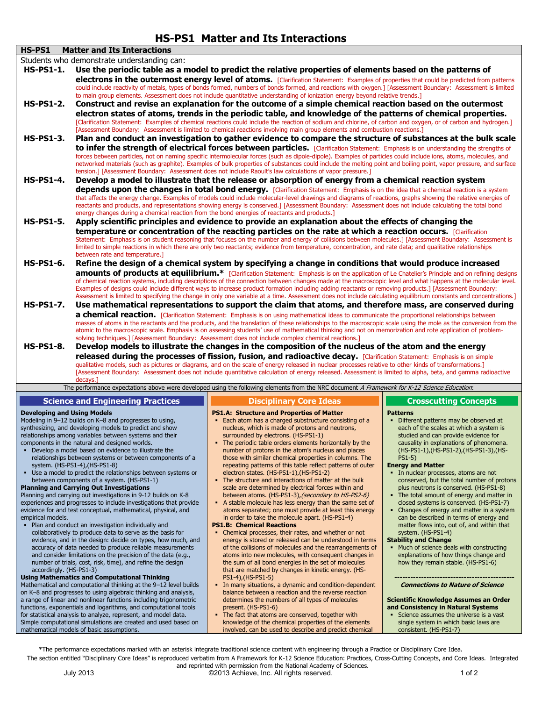## **HS-PS1 Matter and Its Interactions**

**HS-PS1 Matter and Its Interactions**

- Students who demonstrate understanding can:
- **HS-PS1-1. Use the periodic table as a model to predict the relative properties of elements based on the patterns of electrons in the outermost energy level of atoms.** [Clarification Statement: Examples of properties that could be predicted from patterns could include reactivity of metals, types of bonds formed, numbers of bonds formed, and reactions with oxygen.] [Assessment Boundary: Assessment is limited to main group elements. Assessment does not include quantitative understanding of ionization energy beyond relative trends.]
- **HS-PS1-2. Construct and revise an explanation for the outcome of a simple chemical reaction based on the outermost electron states of atoms, trends in the periodic table, and knowledge of the patterns of chemical properties.** [Clarification Statement: Examples of chemical reactions could include the reaction of sodium and chlorine, of carbon and oxygen, or of carbon and hydrogen.] [Assessment Boundary: Assessment is limited to chemical reactions involving main group elements and combustion reactions.]
- **HS-PS1-3. Plan and conduct an investigation to gather evidence to compare the structure of substances at the bulk scale**  to infer the strength of electrical forces between particles. [Clarification Statement: Emphasis is on understanding the strengths of forces between particles, not on naming specific intermolecular forces (such as dipole-dipole). Examples of particles could include ions, atoms, molecules, and networked materials (such as graphite). Examples of bulk properties of substances could include the melting point and boiling point, vapor pressure, and surface tension.] [Assessment Boundary: Assessment does not include Raoult's law calculations of vapor pressure.]
- **HS-PS1-4. Develop a model to illustrate that the release or absorption of energy from a chemical reaction system depends upon the changes in total bond energy.** [Clarification Statement: Emphasis is on the idea that a chemical reaction is a system that affects the energy change. Examples of models could include molecular-level drawings and diagrams of reactions, graphs showing the relative energies of reactants and products, and representations showing energy is conserved.] [Assessment Boundary: Assessment does not include calculating the total bond energy changes during a chemical reaction from the bond energies of reactants and products.]
- **HS-PS1-5. Apply scientific principles and evidence to provide an explanation about the effects of changing the temperature or concentration of the reacting particles on the rate at which a reaction occurs.** [Clarification Statement: Emphasis is on student reasoning that focuses on the number and energy of collisions between molecules.] [Assessment Boundary: Assessment is limited to simple reactions in which there are only two reactants; evidence from temperature, concentration, and rate data; and qualitative relationships between rate and temperature.]
- **HS-PS1-6. Refine the design of a chemical system by specifying a change in conditions that would produce increased amounts of products at equilibrium.**\* [Clarification Statement: Emphasis is on the application of Le Chatelier's Principle and on refining designs of chemical reaction systems, including descriptions of the connection between changes made at the macroscopic level and what happens at the molecular level. Examples of designs could include different ways to increase product formation including adding reactants or removing products.] [Assessment Boundary: Assessment is limited to specifying the change in only one variable at a time. Assessment does not include calculating equilibrium constants and concentrations.]
- **HS-PS1-7. Use mathematical representations to support the claim that atoms, and therefore mass, are conserved during**  a chemical reaction. [Clarification Statement: Emphasis is on using mathematical ideas to communicate the proportional relationships between masses of atoms in the reactants and the products, and the translation of these relationships to the macroscopic scale using the mole as the conversion from the atomic to the macroscopic scale. Emphasis is on assessing students' use of mathematical thinking and not on memorization and rote application of problemsolving techniques.] [Assessment Boundary: Assessment does not include complex chemical reactions.]
- **HS-PS1-8. Develop models to illustrate the changes in the composition of the nucleus of the atom and the energy released during the processes of fission, fusion, and radioactive decay.** [Clarification Statement: Emphasis is on simple qualitative models, such as pictures or diagrams, and on the scale of energy released in nuclear processes relative to other kinds of transformations.] [Assessment Boundary: Assessment does not include quantitative calculation of energy released. Assessment is limited to alpha, beta, and gamma radioactive decays.] The performance expectations above were developed using the following elements from the NRC document A Framework for K-12 Science Education:

| <b>Science and Engineering Practices</b>                                                                                                                                                                                                                                                                                                                                                                                                                                                                                                                                                                                                                                                                                                                                                                                                                                                                                                                                                                                                                                                                                                                                                                                             | <b>Disciplinary Core Ideas</b>                                                                                                                                                                                                                                                                                                                                                                                                                                                                                                                                                                                                                                                                                                                                                                                                                                                                                                                                                                                                                                                                                                                                                                                                           | <b>Crosscutting Concepts</b>                                                                                                                                                                                                                                                                                                                                                                                                                                                                                                                                                                                                                                                                                                                                                                                                |
|--------------------------------------------------------------------------------------------------------------------------------------------------------------------------------------------------------------------------------------------------------------------------------------------------------------------------------------------------------------------------------------------------------------------------------------------------------------------------------------------------------------------------------------------------------------------------------------------------------------------------------------------------------------------------------------------------------------------------------------------------------------------------------------------------------------------------------------------------------------------------------------------------------------------------------------------------------------------------------------------------------------------------------------------------------------------------------------------------------------------------------------------------------------------------------------------------------------------------------------|------------------------------------------------------------------------------------------------------------------------------------------------------------------------------------------------------------------------------------------------------------------------------------------------------------------------------------------------------------------------------------------------------------------------------------------------------------------------------------------------------------------------------------------------------------------------------------------------------------------------------------------------------------------------------------------------------------------------------------------------------------------------------------------------------------------------------------------------------------------------------------------------------------------------------------------------------------------------------------------------------------------------------------------------------------------------------------------------------------------------------------------------------------------------------------------------------------------------------------------|-----------------------------------------------------------------------------------------------------------------------------------------------------------------------------------------------------------------------------------------------------------------------------------------------------------------------------------------------------------------------------------------------------------------------------------------------------------------------------------------------------------------------------------------------------------------------------------------------------------------------------------------------------------------------------------------------------------------------------------------------------------------------------------------------------------------------------|
| <b>Developing and Using Models</b><br>Modeling in 9-12 builds on K-8 and progresses to using,<br>synthesizing, and developing models to predict and show<br>relationships among variables between systems and their<br>components in the natural and designed worlds.<br>• Develop a model based on evidence to illustrate the<br>relationships between systems or between components of a<br>system. (HS-PS1-4), (HS-PS1-8)<br>• Use a model to predict the relationships between systems or<br>between components of a system. (HS-PS1-1)<br><b>Planning and Carrying Out Investigations</b><br>Planning and carrying out investigations in 9-12 builds on K-8<br>experiences and progresses to include investigations that provide<br>evidence for and test conceptual, mathematical, physical, and<br>empirical models.<br>• Plan and conduct an investigation individually and<br>collaboratively to produce data to serve as the basis for<br>evidence, and in the design: decide on types, how much, and<br>accuracy of data needed to produce reliable measurements<br>and consider limitations on the precision of the data (e.g.,<br>number of trials, cost, risk, time), and refine the design<br>accordingly. (HS-PS1-3) | <b>PS1.A: Structure and Properties of Matter</b><br>Each atom has a charged substructure consisting of a<br>٠<br>nucleus, which is made of protons and neutrons,<br>surrounded by electrons. (HS-PS1-1)<br>• The periodic table orders elements horizontally by the<br>number of protons in the atom's nucleus and places<br>those with similar chemical properties in columns. The<br>repeating patterns of this table reflect patterns of outer<br>electron states. (HS-PS1-1), (HS-PS1-2)<br>• The structure and interactions of matter at the bulk<br>scale are determined by electrical forces within and<br>between atoms. (HS-PS1-3), (secondary to HS-PS2-6)<br>• A stable molecule has less energy than the same set of<br>atoms separated; one must provide at least this energy<br>in order to take the molecule apart. (HS-PS1-4)<br><b>PS1.B: Chemical Reactions</b><br>• Chemical processes, their rates, and whether or not<br>energy is stored or released can be understood in terms<br>of the collisions of molecules and the rearrangements of<br>atoms into new molecules, with consequent changes in<br>the sum of all bond energies in the set of molecules<br>that are matched by changes in kinetic energy. (HS- | <b>Patterns</b><br>• Different patterns may be observed at<br>each of the scales at which a system is<br>studied and can provide evidence for<br>causality in explanations of phenomena.<br>(HS-PS1-1), (HS-PS1-2), (HS-PS1-3), (HS-<br>$PS1-5$<br><b>Energy and Matter</b><br>In nuclear processes, atoms are not<br>conserved, but the total number of protons<br>plus neutrons is conserved. (HS-PS1-8)<br>• The total amount of energy and matter in<br>closed systems is conserved. (HS-PS1-7)<br>• Changes of energy and matter in a system<br>can be described in terms of energy and<br>matter flows into, out of, and within that<br>system. (HS-PS1-4)<br><b>Stability and Change</b><br>• Much of science deals with constructing<br>explanations of how things change and<br>how they remain stable. (HS-PS1-6) |
| <b>Using Mathematics and Computational Thinking</b><br>Mathematical and computational thinking at the 9-12 level builds                                                                                                                                                                                                                                                                                                                                                                                                                                                                                                                                                                                                                                                                                                                                                                                                                                                                                                                                                                                                                                                                                                              | PS1-4).(HS-PS1-5)<br>• In many situations, a dynamic and condition-dependent                                                                                                                                                                                                                                                                                                                                                                                                                                                                                                                                                                                                                                                                                                                                                                                                                                                                                                                                                                                                                                                                                                                                                             | <b>Connections to Nature of Science</b>                                                                                                                                                                                                                                                                                                                                                                                                                                                                                                                                                                                                                                                                                                                                                                                     |
| on K-8 and progresses to using algebraic thinking and analysis,                                                                                                                                                                                                                                                                                                                                                                                                                                                                                                                                                                                                                                                                                                                                                                                                                                                                                                                                                                                                                                                                                                                                                                      | balance between a reaction and the reverse reaction                                                                                                                                                                                                                                                                                                                                                                                                                                                                                                                                                                                                                                                                                                                                                                                                                                                                                                                                                                                                                                                                                                                                                                                      |                                                                                                                                                                                                                                                                                                                                                                                                                                                                                                                                                                                                                                                                                                                                                                                                                             |
| a range of linear and nonlinear functions including trigonometric<br>functions, exponentials and logarithms, and computational tools                                                                                                                                                                                                                                                                                                                                                                                                                                                                                                                                                                                                                                                                                                                                                                                                                                                                                                                                                                                                                                                                                                 | determines the numbers of all types of molecules<br>present. (HS-PS1-6)                                                                                                                                                                                                                                                                                                                                                                                                                                                                                                                                                                                                                                                                                                                                                                                                                                                                                                                                                                                                                                                                                                                                                                  | Scientific Knowledge Assumes an Order<br>and Consistency in Natural Systems                                                                                                                                                                                                                                                                                                                                                                                                                                                                                                                                                                                                                                                                                                                                                 |
| for statistical analysis to analyze, represent, and model data.                                                                                                                                                                                                                                                                                                                                                                                                                                                                                                                                                                                                                                                                                                                                                                                                                                                                                                                                                                                                                                                                                                                                                                      | • The fact that atoms are conserved, together with                                                                                                                                                                                                                                                                                                                                                                                                                                                                                                                                                                                                                                                                                                                                                                                                                                                                                                                                                                                                                                                                                                                                                                                       | • Science assumes the universe is a vast                                                                                                                                                                                                                                                                                                                                                                                                                                                                                                                                                                                                                                                                                                                                                                                    |
| Simple computational simulations are created and used based on<br>mathematical models of basic assumptions.                                                                                                                                                                                                                                                                                                                                                                                                                                                                                                                                                                                                                                                                                                                                                                                                                                                                                                                                                                                                                                                                                                                          | knowledge of the chemical properties of the elements<br>involved, can be used to describe and predict chemical                                                                                                                                                                                                                                                                                                                                                                                                                                                                                                                                                                                                                                                                                                                                                                                                                                                                                                                                                                                                                                                                                                                           | single system in which basic laws are<br>consistent. (HS-PS1-7)                                                                                                                                                                                                                                                                                                                                                                                                                                                                                                                                                                                                                                                                                                                                                             |
|                                                                                                                                                                                                                                                                                                                                                                                                                                                                                                                                                                                                                                                                                                                                                                                                                                                                                                                                                                                                                                                                                                                                                                                                                                      |                                                                                                                                                                                                                                                                                                                                                                                                                                                                                                                                                                                                                                                                                                                                                                                                                                                                                                                                                                                                                                                                                                                                                                                                                                          |                                                                                                                                                                                                                                                                                                                                                                                                                                                                                                                                                                                                                                                                                                                                                                                                                             |

\*The performance expectations marked with an asterisk integrate traditional science content with engineering through a Practice or Disciplinary Core Idea.

The section entitled "Disciplinary Core Ideas" is reproduced verbatim from A Framework for K-12 Science Education: Practices, Cross-Cutting Concepts, and Core Ideas. Integrated and reprinted with permission from the National Academy of Sciences.

July 2013 **Dubber 1 of 2013 Achieve, Inc. All rights reserved.** 1 of 2